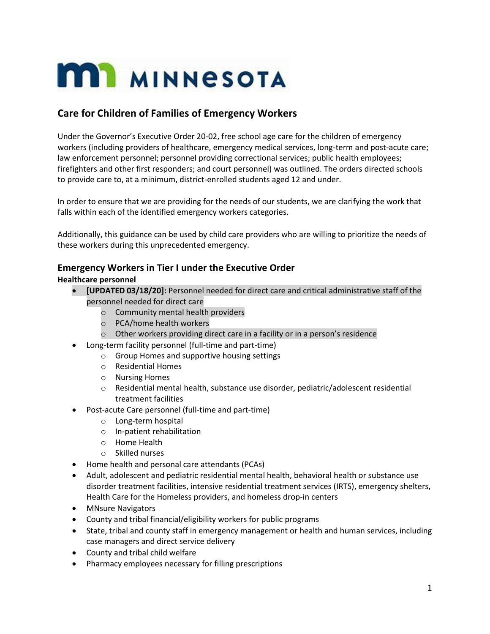# **MI MINNESOTA**

# **Care for Children of Families of Emergency Workers**

Under the Governor's Executive Order 20-02, free school age care for the children of emergency workers (including providers of healthcare, emergency medical services, long-term and post-acute care; law enforcement personnel; personnel providing correctional services; public health employees; firefighters and other first responders; and court personnel) was outlined. The orders directed schools to provide care to, at a minimum, district-enrolled students aged 12 and under.

In order to ensure that we are providing for the needs of our students, we are clarifying the work that falls within each of the identified emergency workers categories.

Additionally, this guidance can be used by child care providers who are willing to prioritize the needs of these workers during this unprecedented emergency.

# **Emergency Workers in Tier I under the Executive Order**

### **Healthcare personnel**

- **[UPDATED 03/18/20]:** Personnel needed for direct care and critical administrative staff of the personnel needed for direct care
	- o Community mental health providers
	- o PCA/home health workers
	- o Other workers providing direct care in a facility or in a person's residence
- Long-term facility personnel (full-time and part-time)
	- o Group Homes and supportive housing settings
	- o Residential Homes
	- o Nursing Homes
	- $\circ$  Residential mental health, substance use disorder, pediatric/adolescent residential treatment facilities
- Post-acute Care personnel (full-time and part-time)
	- o Long-term hospital
	- o In-patient rehabilitation
	- o Home Health
	- o Skilled nurses
- Home health and personal care attendants (PCAs)
- Adult, adolescent and pediatric residential mental health, behavioral health or substance use disorder treatment facilities, intensive residential treatment services (IRTS), emergency shelters, Health Care for the Homeless providers, and homeless drop-in centers
- MNsure Navigators
- County and tribal financial/eligibility workers for public programs
- State, tribal and county staff in emergency management or health and human services, including case managers and direct service delivery
- County and tribal child welfare
- Pharmacy employees necessary for filling prescriptions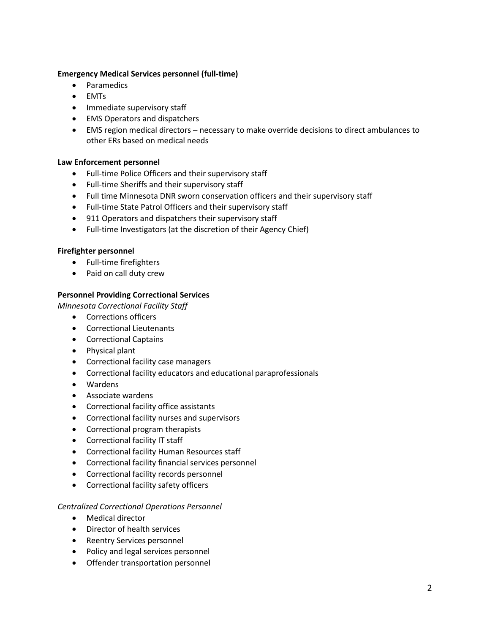#### **Emergency Medical Services personnel (full-time)**

- Paramedics
- EMTs
- Immediate supervisory staff
- EMS Operators and dispatchers
- EMS region medical directors necessary to make override decisions to direct ambulances to other ERs based on medical needs

#### **Law Enforcement personnel**

- Full-time Police Officers and their supervisory staff
- Full-time Sheriffs and their supervisory staff
- Full time Minnesota DNR sworn conservation officers and their supervisory staff
- Full-time State Patrol Officers and their supervisory staff
- 911 Operators and dispatchers their supervisory staff
- Full-time Investigators (at the discretion of their Agency Chief)

#### **Firefighter personnel**

- Full-time firefighters
- Paid on call duty crew

#### **Personnel Providing Correctional Services**

*Minnesota Correctional Facility Staff*

- Corrections officers
- Correctional Lieutenants
- Correctional Captains
- Physical plant
- Correctional facility case managers
- Correctional facility educators and educational paraprofessionals
- Wardens
- Associate wardens
- Correctional facility office assistants
- Correctional facility nurses and supervisors
- Correctional program therapists
- Correctional facility IT staff
- Correctional facility Human Resources staff
- Correctional facility financial services personnel
- Correctional facility records personnel
- Correctional facility safety officers

#### *Centralized Correctional Operations Personnel*

- Medical director
- Director of health services
- Reentry Services personnel
- Policy and legal services personnel
- Offender transportation personnel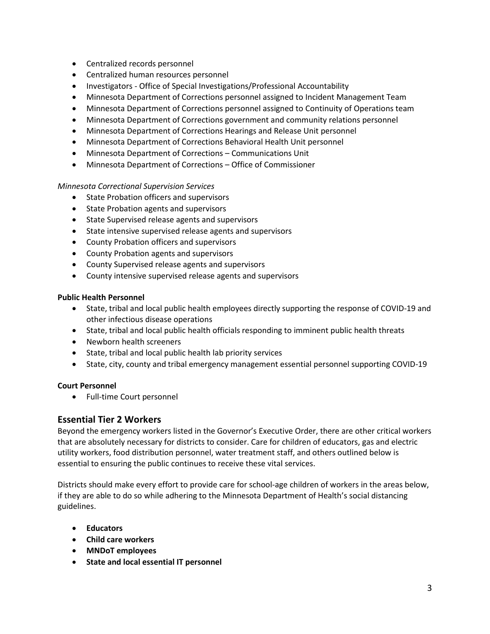- Centralized records personnel
- Centralized human resources personnel
- Investigators Office of Special Investigations/Professional Accountability
- Minnesota Department of Corrections personnel assigned to Incident Management Team
- Minnesota Department of Corrections personnel assigned to Continuity of Operations team
- Minnesota Department of Corrections government and community relations personnel
- Minnesota Department of Corrections Hearings and Release Unit personnel
- Minnesota Department of Corrections Behavioral Health Unit personnel
- Minnesota Department of Corrections Communications Unit
- Minnesota Department of Corrections Office of Commissioner

#### *Minnesota Correctional Supervision Services*

- **•** State Probation officers and supervisors
- State Probation agents and supervisors
- State Supervised release agents and supervisors
- State intensive supervised release agents and supervisors
- County Probation officers and supervisors
- County Probation agents and supervisors
- County Supervised release agents and supervisors
- County intensive supervised release agents and supervisors

#### **Public Health Personnel**

- State, tribal and local public health employees directly supporting the response of COVID-19 and other infectious disease operations
- State, tribal and local public health officials responding to imminent public health threats
- Newborn health screeners
- State, tribal and local public health lab priority services
- State, city, county and tribal emergency management essential personnel supporting COVID-19

#### **Court Personnel**

Full-time Court personnel

# **Essential Tier 2 Workers**

Beyond the emergency workers listed in the Governor's Executive Order, there are other critical workers that are absolutely necessary for districts to consider. Care for children of educators, gas and electric utility workers, food distribution personnel, water treatment staff, and others outlined below is essential to ensuring the public continues to receive these vital services.

Districts should make every effort to provide care for school-age children of workers in the areas below, if they are able to do so while adhering to the Minnesota Department of Health's social distancing guidelines.

- **Educators**
- **Child care workers**
- **MNDoT employees**
- **State and local essential IT personnel**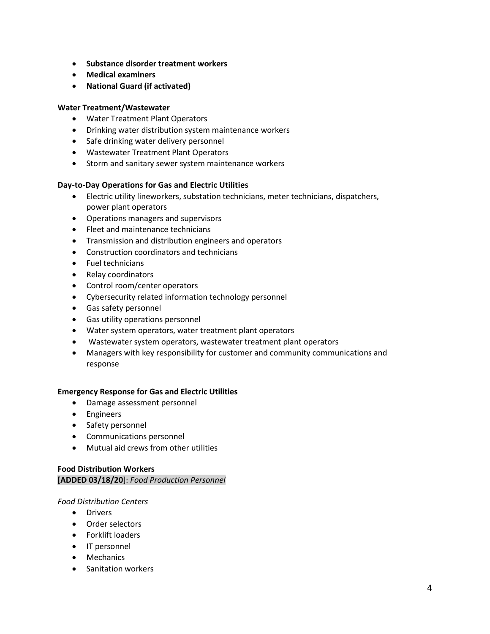- **Substance disorder treatment workers**
- **Medical examiners**
- **National Guard (if activated)**

#### **Water Treatment/Wastewater**

- Water Treatment Plant Operators
- Drinking water distribution system maintenance workers
- Safe drinking water delivery personnel
- Wastewater Treatment Plant Operators
- Storm and sanitary sewer system maintenance workers

#### **Day-to-Day Operations for Gas and Electric Utilities**

- Electric utility lineworkers, substation technicians, meter technicians, dispatchers, power plant operators
- Operations managers and supervisors
- Fleet and maintenance technicians
- Transmission and distribution engineers and operators
- Construction coordinators and technicians
- Fuel technicians
- Relay coordinators
- Control room/center operators
- Cybersecurity related information technology personnel
- Gas safety personnel
- Gas utility operations personnel
- Water system operators, water treatment plant operators
- Wastewater system operators, wastewater treatment plant operators
- Managers with key responsibility for customer and community communications and response

#### **Emergency Response for Gas and Electric Utilities**

- Damage assessment personnel
- **•** Engineers
- Safety personnel
- Communications personnel
- Mutual aid crews from other utilities

# **Food Distribution Workers [ADDED 03/18/20**]: *Food Production Personnel*

#### *Food Distribution Centers*

- Drivers
- Order selectors
- Forklift loaders
- IT personnel
- Mechanics
- Sanitation workers